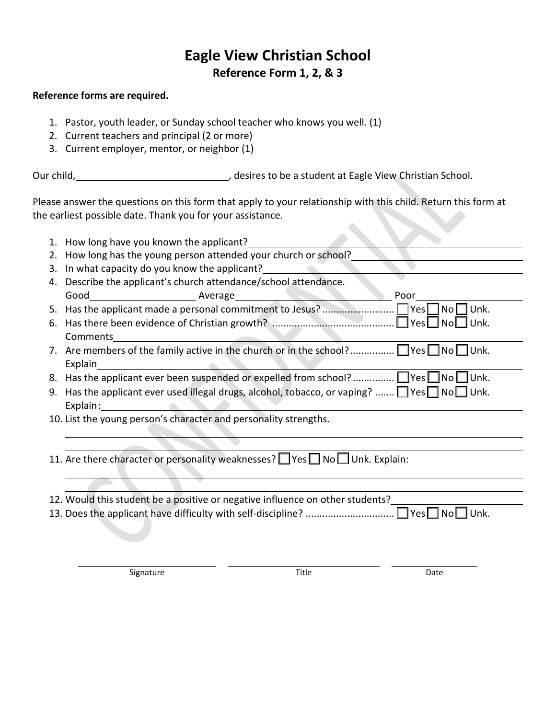## **Eagle View Christian School Reference Form 1, 2, & 3**

## **Reference forms are required.**

- 1. Pastor, youth leader, or Sunday school teacher who knows you well. (1)
- 2. Current teachers and principal (2 or more)
- 3. Current employer, mentor, or neighbor (1)

Our child, <u>Cambridge Courses</u>, desires to be a student at Eagle View Christian School.

Please answer the questions on this form that apply to your relationship with this child. Return this form at the earliest possible date. Thank you for your assistance.  $\ddot{\phantom{a}}$ 

|                                                                               | 1. How long have you known the applicant?                                                                                                                                                                                      |  |  |
|-------------------------------------------------------------------------------|--------------------------------------------------------------------------------------------------------------------------------------------------------------------------------------------------------------------------------|--|--|
|                                                                               | 2. How long has the young person attended your church or school?                                                                                                                                                               |  |  |
|                                                                               | 3. In what capacity do you know the applicant?                                                                                                                                                                                 |  |  |
|                                                                               | 4. Describe the applicant's church attendance/school attendance.                                                                                                                                                               |  |  |
|                                                                               | Poor                                                                                                                                                                                                                           |  |  |
|                                                                               |                                                                                                                                                                                                                                |  |  |
|                                                                               |                                                                                                                                                                                                                                |  |  |
|                                                                               | Comments                                                                                                                                                                                                                       |  |  |
|                                                                               |                                                                                                                                                                                                                                |  |  |
|                                                                               |                                                                                                                                                                                                                                |  |  |
|                                                                               | 8. Has the applicant ever been suspended or expelled from school? Yes NoDUnk.                                                                                                                                                  |  |  |
|                                                                               | 9. Has the applicant ever used illegal drugs, alcohol, tobacco, or vaping? $\Box$ Yes $\Box$ No $\Box$ Unk.                                                                                                                    |  |  |
|                                                                               | Explain: and the contract of the contract of the contract of the contract of the contract of the contract of the contract of the contract of the contract of the contract of the contract of the contract of the contract of t |  |  |
| 10. List the young person's character and personality strengths.              |                                                                                                                                                                                                                                |  |  |
|                                                                               |                                                                                                                                                                                                                                |  |  |
|                                                                               |                                                                                                                                                                                                                                |  |  |
| 11. Are there character or personality weaknesses? Ves NoU Unk. Explain:      |                                                                                                                                                                                                                                |  |  |
|                                                                               |                                                                                                                                                                                                                                |  |  |
|                                                                               |                                                                                                                                                                                                                                |  |  |
| 12. Would this student be a positive or negative influence on other students? |                                                                                                                                                                                                                                |  |  |
|                                                                               |                                                                                                                                                                                                                                |  |  |
|                                                                               |                                                                                                                                                                                                                                |  |  |
|                                                                               |                                                                                                                                                                                                                                |  |  |
|                                                                               |                                                                                                                                                                                                                                |  |  |

Signature **Date CONFINGLE CONTROLLER TITLE**